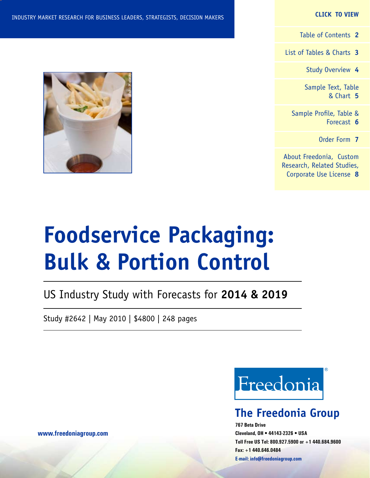## **CLICK TO VIEW**

[Table of Contents](#page-1-0) **2**

[List of Tables & Charts](#page-2-0) **3**

[Study Overview](#page-3-0) **4**

[Sample Text, Table](#page-4-0) [& Chart](#page-4-0) **5**

[Sample Profile, Table &](#page-5-0) [Forecast](#page-5-0) **6**

[Order Form](#page-6-0) **7**

[About Freedonia, Custom](#page-7-0) [Research, Related Studies,](#page-7-0) [Corporate Use License](#page-7-0) **8**

# **Foodservice Packaging: Bulk & Portion Control**

# US Industry Study with Forecasts for **2014 & 2019**

Study #2642 | May 2010 | \$4800 | 248 pages

Freedonia

# **The Freedonia Group**

**767 Beta Drive Cleveland, OH • 44143-2326 • USA Toll Free US Tel: 800.927.5900 or +1 440.684.9600 Fax: +1 440.646.0484 E-mail: [info@freedoniagroup.com](mailto:info@freedoniagroup.com)**

**[www.freedoniagroup.com](http://www.freedoniagroup.com/Home.aspx?ReferrerId=FM-Bro)**

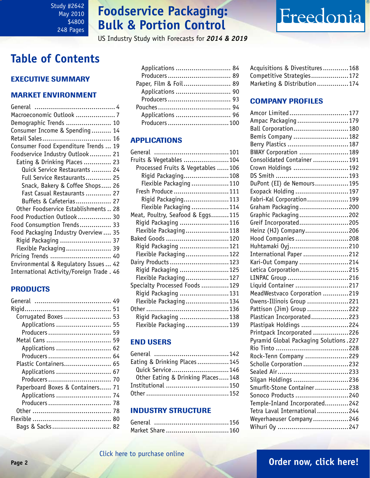# **Foodservice Packaging: Bulk & Portion Control**

US Industry Study with Forecasts for *2014 & 2019*

# Freedonia

# <span id="page-1-0"></span>**Table of Contents**

# Executive Summary

# Market EnvironmenT

| Macroeconomic Outlook  7                  |
|-------------------------------------------|
| Demographic Trends  10                    |
| Consumer Income & Spending 14             |
|                                           |
| Consumer Food Expenditure Trends  19      |
| Foodservice Industry Outlook 21           |
| Eating & Drinking Places 23               |
| Quick Service Restaurants  24             |
| Full Service Restaurants 25               |
| Snack, Bakery & Coffee Shops 26           |
| Fast Casual Restaurants  27               |
| Buffets & Cafeterias 27                   |
| Other Foodservice Establishments  28      |
| Food Production Outlook 30                |
| Food Consumption Trends 33                |
| Food Packaging Industry Overview 35       |
| Rigid Packaging  37                       |
| Flexible Packaging 39                     |
| Pricing Trends  40                        |
| Environmental & Regulatory Issues  42     |
| International Activity/Foreign Trade . 46 |

# PRODUCTS

| Corrugated Boxes  53             |
|----------------------------------|
| Applications  55                 |
| Producers 59                     |
| Metal Cans  59                   |
|                                  |
| Producers 64                     |
| Plastic Containers 65            |
|                                  |
|                                  |
| Paperboard Boxes & Containers 71 |
| Applications  74                 |
|                                  |
|                                  |
|                                  |
| Bags & Sacks 82                  |

| Applications  84      |  |
|-----------------------|--|
|                       |  |
| Paper, Film & Foil 89 |  |
| Applications  90      |  |
|                       |  |
|                       |  |
| Applications  96      |  |
| Producers100          |  |
|                       |  |

# APPLICATIONS

| Fruits & Vegetables 104           |  |
|-----------------------------------|--|
| Processed Fruits & Vegetables 106 |  |
| Rigid Packaging108                |  |
| Flexible Packaging 110            |  |
| Fresh Produce  111                |  |
| Rigid Packaging113                |  |
| Flexible Packaging 114            |  |
| Meat, Poultry, Seafood & Eggs115  |  |
| Rigid Packaging 116               |  |
| Flexible Packaging118             |  |
| Baked Goods 120                   |  |
| Rigid Packaging 121               |  |
| Flexible Packaging122             |  |
| Dairy Products 123                |  |
| Rigid Packaging 125               |  |
| Flexible Packaging127             |  |
| Specialty Processed Foods 129     |  |
| Rigid Packaging 131               |  |
| Flexible Packaging134             |  |
|                                   |  |
| Rigid Packaging 138               |  |
| Flexible Packaging139             |  |

# END USERS

| Eating & Drinking Places145       |  |
|-----------------------------------|--|
| Quick Service 146                 |  |
| Other Eating & Drinking Places148 |  |
|                                   |  |
|                                   |  |

# INDUSTRY STRUCTURE

| Market Share  160 |  |
|-------------------|--|

| Acquisitions & Divestitures168 |  |
|--------------------------------|--|
| Competitive Strategies172      |  |
| Marketing & Distribution174    |  |

# Company Profiles

| Amcor Limited177                       |  |
|----------------------------------------|--|
| Ampac Packaging179                     |  |
| Ball Corporation180                    |  |
| Bemis Company 182                      |  |
| Berry Plastics 187                     |  |
| BWAY Corporation 189                   |  |
| Consolidated Container 191             |  |
| Crown Holdings 192                     |  |
|                                        |  |
| DuPont (EI) de Nemours195              |  |
| Exopack Holding 197                    |  |
| Fabri-Kal Corporation199               |  |
| Graham Packaging200                    |  |
| Graphic Packaging202                   |  |
| Greif Incorporated205                  |  |
| Heinz (HJ) Company206                  |  |
| Hood Companies 208                     |  |
| Huhtamaki 0yj210                       |  |
| International Paper 212                |  |
| Kari-Out Company 214                   |  |
| Letica Corporation215                  |  |
| LINPAC Group 216                       |  |
| Liquid Container 217                   |  |
| MeadWestvaco Corporation 219           |  |
|                                        |  |
| Owens-Illinois Group 221               |  |
| Pattison (Jim) Group 222               |  |
| Plastican Incorporated223              |  |
| Plastipak Holdings 224                 |  |
| Printpack Incorporated 226             |  |
| Pyramid Global Packaging Solutions.227 |  |
|                                        |  |
| Rock-Tenn Company 229                  |  |
| Scholle Corporation 232                |  |
|                                        |  |
| Silgan Holdings 236                    |  |
| Smurfit-Stone Container238             |  |
| Sonoco Products 240                    |  |
| Temple-Inland Incorporated242          |  |
| Tetra Laval International 244          |  |
| Weyerhaeuser Company246                |  |
|                                        |  |
|                                        |  |

# **Page 2 [Order now, click here!](#page-6-0)**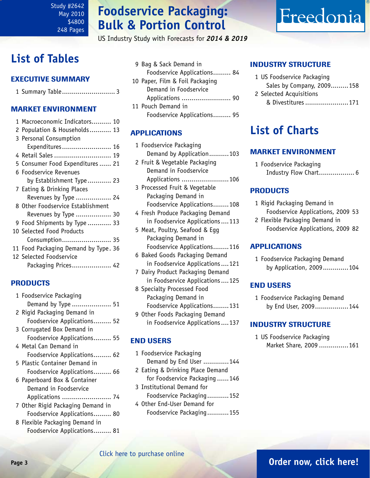# **Foodservice Packaging: Bulk & Portion Control**

US Industry Study with Forecasts for *2014 & 2019*

# <span id="page-2-0"></span>**List of Tables**

# Executive Summary

|--|--|

# Market EnvironmenT

| 1 Macroeconomic Indicators 10        |
|--------------------------------------|
| 2 Population & Households 13         |
| 3 Personal Consumption               |
| Expenditures 16                      |
| 4 Retail Sales  19                   |
| 5 Consumer Food Expenditures  21     |
| 6 Foodservice Revenues               |
| by Establishment Type 23             |
| 7 Eating & Drinking Places           |
| Revenues by Type  24                 |
| 8 Other Foodservice Establishment    |
| Revenues by Type  30                 |
| 9 Food Shipments by Type 33          |
| 10 Selected Food Products            |
| Consumption 35                       |
| 11 Food Packaging Demand by Type. 36 |
| 12 Selected Foodservice              |
| Packaging Prices 42                  |

# PRODUCTS

| 1 Foodservice Packaging           |
|-----------------------------------|
| Demand by Type  51                |
| 2 Rigid Packaging Demand in       |
| Foodservice Applications 52       |
| 3 Corrugated Box Demand in        |
| Foodservice Applications 55       |
| 4 Metal Can Demand in             |
| Foodservice Applications 62       |
| 5 Plastic Container Demand in     |
| Foodservice Applications 66       |
| 6 Paperboard Box & Container      |
| Demand in Foodservice             |
| Applications  74                  |
| 7 Other Rigid Packaging Demand in |
| Foodservice Applications 80       |
| 8 Flexible Packaging Demand in    |
| Foodservice Applications 81       |

|  | 9 Bag & Sack Demand in          |  |
|--|---------------------------------|--|
|  | Foodservice Applications 84     |  |
|  | 10 Paper, Film & Foil Packaging |  |
|  | Demand in Foodservice           |  |
|  |                                 |  |
|  | 11 Pouch Demand in              |  |
|  | Foodservice Applications 95     |  |
|  |                                 |  |

# APPLICATIONS

| 1 Foodservice Packaging<br>Demand by Application103 |
|-----------------------------------------------------|
| 2 Fruit & Vegetable Packaging                       |
| Demand in Foodservice                               |
| Applications 106                                    |
| 3 Processed Fruit & Vegetable                       |
| Packaging Demand in                                 |
| Foodservice Applications108                         |
| 4 Fresh Produce Packaging Demand                    |
| in Foodservice Applications113                      |
| 5 Meat, Poultry, Seafood & Egg                      |
| Packaging Demand in                                 |
| Foodservice Applications116                         |
| 6 Baked Goods Packaging Demand                      |
| in Foodservice Applications121                      |
| 7 Dairy Product Packaging Demand                    |
| in Foodservice Applications125                      |

8 Specialty Processed Food Packaging Demand in Foodservice Applications........131

9 Other Foods Packaging Demand in Foodservice Applications....137

# END USERS

- 1 Foodservice Packaging Demand by End User .............144
- 2 Eating & Drinking Place Demand for Foodservice Packaging ......146 3 Institutional Demand for
- Foodservice Packaging...........152 4 Other End-User Demand for Foodservice Packaging...........155

# INDUSTRY STRUCTURE

1 US Foodservice Packaging Sales by Company, 2009.........158

Freedonia

2 Selected Acquisitions & Divestitures......................171

# **List of Charts**

# Market EnvironmenT

1 Foodservice Packaging Industry Flow Chart.................. 6

# PRODUCTS

- 1 Rigid Packaging Demand in Foodservice Applications, 2009 53
- 2 Flexible Packaging Demand in Foodservice Applications, 2009 82

## APPLICATIONS

1 Foodservice Packaging Demand by Application, 2009.............104

## END USERS

1 Foodservice Packaging Demand by End User, 2009.................144

## INDUSTRY STRUCTURE

1 US Foodservice Packaging Market Share, 2009 ...............161

# **Page 3 [Order now, click here!](#page-6-0)**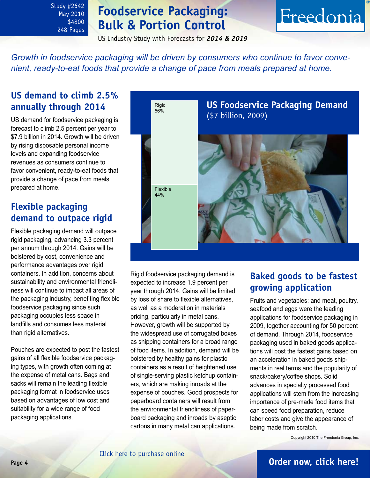<span id="page-3-0"></span>Study #2642 May 2010 \$4800 248 Pages

# **Foodservice Packaging: Bulk & Portion Control**

# Freedonia

US Industry Study with Forecasts for *2014 & 2019*

*Growth in foodservice packaging will be driven by consumers who continue to favor convenient, ready-to-eat foods that provide a change of pace from meals prepared at home.*

# **US demand to climb 2.5% annually through 2014**

US demand for foodservice packaging is forecast to climb 2.5 percent per year to \$7.9 billion in 2014. Growth will be driven by rising disposable personal income levels and expanding foodservice revenues as consumers continue to favor convenient, ready-to-eat foods that provide a change of pace from meals prepared at home.

# **Flexible packaging demand to outpace rigid**

Flexible packaging demand will outpace rigid packaging, advancing 3.3 percent per annum through 2014. Gains will be bolstered by cost, convenience and performance advantages over rigid containers. In addition, concerns about sustainability and environmental friendliness will continue to impact all areas of the packaging industry, benefiting flexible foodservice packaging since such packaging occupies less space in landfills and consumes less material than rigid alternatives.

Pouches are expected to post the fastest gains of all flexible foodservice packaging types, with growth often coming at the expense of metal cans. Bags and sacks will remain the leading flexible packaging format in foodservice uses based on advantages of low cost and suitability for a wide range of food packaging applications.



Rigid foodservice packaging demand is expected to increase 1.9 percent per year through 2014. Gains will be limited by loss of share to flexible alternatives, as well as a moderation in materials pricing, particularly in metal cans. However, growth will be supported by the widespread use of corrugated boxes as shipping containers for a broad range of food items. In addition, demand will be bolstered by healthy gains for plastic containers as a result of heightened use of single-serving plastic ketchup containers, which are making inroads at the expense of pouches. Good prospects for paperboard containers will result from the environmental friendliness of paperboard packaging and inroads by aseptic cartons in many metal can applications.

# **Baked goods to be fastest growing application**

Fruits and vegetables; and meat, poultry, seafood and eggs were the leading applications for foodservice packaging in 2009, together accounting for 50 percent of demand. Through 2014, foodservice packaging used in baked goods applications will post the fastest gains based on an acceleration in baked goods shipments in real terms and the popularity of snack/bakery/coffee shops. Solid advances in specialty processed food applications will stem from the increasing importance of pre-made food items that can speed food preparation, reduce labor costs and give the appearance of being made from scratch.

Copyright 2010 The Freedonia Group, Inc.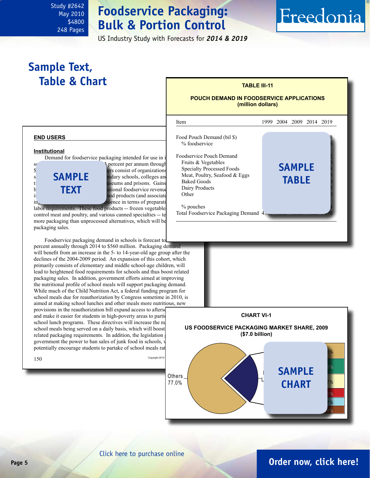# **Foodservice Packaging: Bulk & Portion Control**

US Industry Study with Forecasts for *2014 & 2019*

# Freedonia

# <span id="page-4-0"></span>**Sample Text,**  Table & Chart **TABLE III-11**

**sample**

**text**

## **POUCH DEMAND IN FOODSERVICE APPLICATIONS (million dollars)**

## setting is forecast to advance 2.3 percent per annum through 2.3 percent per annum through 2014 to a 1.3 percent per annum through 2014 to a 2.3 percent per annum through 2014 to a 2.4 percent per annum through 2.4 percent ers consist of organizations  $s = SAMPI$  F and section schools, colleges and universi $t_i$  and  $t_i$  and  $t_i$  are  $t_i$  and  $t_i$  are  $t_i$  are  $t_i$  will be used to  $t_i$  are  $t_i$  and  $t_i$  are  $t_i$  are  $t_i$  are  $t_i$  and  $t_i$  are  $t_i$  and  $t_i$  are  $t_i$  and  $t_i$  are  $t_i$  and  $t_i$  are  $t_i$  and  $t_i$  are  $t_i$  and  $t$  $h = \text{TEXT}$  accelerational foodservice revenues in institutional foodservice revenues in the Dairy ing need for special specialty products (and associated package- $\frac{1}{2}$  that provide increase in terms of preparation and  $\frac{1}{2}$  convenience in terms of preparation and  $\frac{1}{2}$ ֦ Item 1999 2004 2009 2014 2019 Food Pouch Demand (bil \$). % foodservice Foodservice Pouch Demand Fruits & Vegetables Specialty Processed Foods Meat, Poultry, Seafood  $&$  Eggs **Baked Goods** Dairy Products Other 90 130 200 240 310 % pouches Total Foodservice Packaging Demand  $45$ **sample table**



## **end users**

## **Institutional**

Demand for foodservice packaging intended for use in

labor requirements. These food products -- frozen vegetable control meat and poultry, and various canned specialties -- te more packaging than unprocessed alternatives, which will be packaging sales.

Foodservice packaging demand in schools is forecast to percent annually through 2014 to \$560 million. Packaging demand will benefit from an increase in the 5- to 14-year-old age group after the declines of the 2004-2009 period. An expansion of this cohort, which primarily consists of elementary and middle school-age children, will lead to heightened food requirements for schools and thus boost related packaging sales. In addition, government efforts aimed at improving the nutritional profile of school meals will support packaging demand. While much of the Child Nutrition Act, a federal funding program for school meals due for reauthorization by Congress sometime in 2010, is aimed at making school lunches and other meals more nutritious, new provisions in the reauthorization bill expand access to afterset and make it easier for students in high-poverty areas to partic school lunch programs. These directives will increase the number school meals being served on a daily basis, which will boost related packaging requirements. In addition, the legislation government the power to ban sales of junk food in schools, potentially encourage students to partake of school meals rat

**Page 5 [Order now, click here!](#page-6-0)**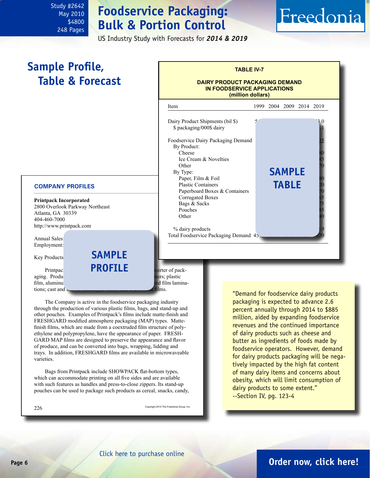<span id="page-5-0"></span>Study #2642 May 2010 \$4800 248 Pages

# **Foodservice Packaging: Bulk & Portion Control**

US Industry Study with Forecasts for *2014 & 2019*

# Freedonia

# **Sample Profile, Table & Forecast**

## **TABLE IV-7**

## **DAIRY PRODUCT PACKAGING DEMAND IN FOODSERVICE APPLICATIONS (million dollars)**

Item 1999 2004 2009 2014 2019 Dairy Product Shipments (bil \$). \$ packaging/000\$ dairy Foodservice Dairy Packaging Demand By Product: Cheese 205 265 370 420 480 Ice Cream & Novelties Other 100  $\epsilon$  130  $\epsilon$  130  $\epsilon$  130  $\epsilon$  130  $\epsilon$  130  $\epsilon$  130  $\epsilon$  130  $\epsilon$  130  $\epsilon$  130  $\epsilon$  130  $\epsilon$  130  $\epsilon$  130  $\epsilon$  131  $\epsilon$  131  $\epsilon$  131  $\epsilon$  131  $\epsilon$  131  $\epsilon$  131  $\epsilon$  131  $\epsilon$  131  $\epsilon$  131  $\epsilon$  131  $\epsilon$  131  $\epsilon$ By Type: Paper, Film & Foil Plastic Containers Paperboard Boxes & Containers Corrugated Boxes Bags & Sacks Pouches Other 15 20 30 30 40 % dairy products Total Foodservice Packaging Demand 45 **sample table**

## **COMPANY PROFILES**

**Printpack Incorporated** 2800 Overlook Parkway Northeast Atlanta, GA 30339 404-460-7000 http://www.printpack.com

Annual Sales: Employment:

Key Products

Printpack **is a privately in the manufacturer of packsample profile**

aging. Products include the results include the matrix of the matrix plastic tions; cast and  $b_1, b_2, \ldots, b_n, c_1, c_2, \ldots, c_n, c_2, \ldots, c_n$  films.

film, aluminum formation for the coated paper and metallized film lamina-

The Company is active in the foodservice packaging industry through the production of various plastic films, bags, and stand-up and other pouches. Examples of Printpack's films include matte-finish and FRESHGARD modified atmosphere packaging (MAP) types. Mattefinish films, which are made from a coextruded film structure of polyethylene and polypropylene, have the appearance of paper. FRESH-GARD MAP films are designed to preserve the appearance and flavor of produce, and can be converted into bags, wrapping, lidding and trays. In addition, FRESHGARD films are available in microwaveable varieties.

Bags from Printpack include SHOWPACK flat-bottom types, which can accommodate printing on all five sides and are available with such features as handles and press-to-close zippers. Its stand-up pouches can be used to package such products as cereal, snacks, candy,

 $226$  Copyright 2010 The Freedonia Group, Inc.

"Demand for foodservice dairy products packaging is expected to advance 2.6 percent annually through 2014 to \$885 million, aided by expanding foodservice revenues and the continued importance of dairy products such as cheese and butter as ingredients of foods made by foodservice operators. However, demand for dairy products packaging will be negatively impacted by the high fat content of many dairy items and concerns about obesity, which will limit consumption of dairy products to some extent." --Section IV, pg. 123-4

# **Page 6 [Order now, click here!](#page-6-0)**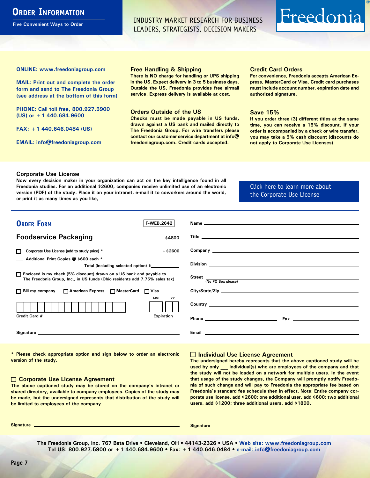# <span id="page-6-0"></span>**ORDER INFORMATION**

**Five Convenient Ways to Order**

INDUSTRY MARKET RESEARCH FOR BUSINESS LEADERS, STRATEGISTS, DECISION MAKERS

# Freedonia

**ONLINE: [www.freedoniagroup.com](http://www.freedoniagroup.com/DocumentDetails.aspx?Referrerid=FM-Bro&StudyID=2642)**

**MAIL: Print out and complete the order form and send to The Freedonia Group (see address at the bottom of this form)**

**PHONE: Call toll free, 800.927.5900 (US) or +1 440.684.9600**

**FAX: +1 440.646.0484 (US)**

**EMAIL: [info@freedoniagroup.com](mailto:info@freedoniagroup.com)**

### **Free Handling & Shipping**

**There is NO charge for handling or UPS shipping in the US. Expect delivery in 3 to 5 business days. Outside the US, Freedonia provides free airmail service. Express delivery is available at cost.**

## **Orders Outside of the US**

**Checks must be made payable in US funds, drawn against a US bank and mailed directly to The Freedonia Group. For wire transfers please contact our customer service department at info@ freedoniagroup.com. Credit cards accepted.**

## **Credit Card Orders**

**For convenience, Freedonia accepts American Express, MasterCard or Visa. Credit card purchases must include account number, expiration date and authorized signature.**

## **Save 15%**

**If you order three (3) different titles at the same time, you can receive a 15% discount. If your order is accompanied by a check or wire transfer, you may take a 5% cash discount (discounts do not apply to Corporate Use Licenses).**

## **Corporate Use License**

**Now every decision maker in your organization can act on the key intelligence found in all Freedonia studies. For an additional \$2600, companies receive unlimited use of an electronic version (PDF) of the study. Place it on your intranet, e-mail it to coworkers around the world, or print it as many times as you like,** 

[Click here to learn more about](http://www.freedoniagroup.com/pdf/FreedoniaCULBro.pdf)  [the Corporate Use License](http://www.freedoniagroup.com/pdf/FreedoniaCULBro.pdf)

| <b>ORDER FORM</b><br><b>F WEB.2642</b>                                                                                                                |                                                                                                                                                                                                                                           |
|-------------------------------------------------------------------------------------------------------------------------------------------------------|-------------------------------------------------------------------------------------------------------------------------------------------------------------------------------------------------------------------------------------------|
|                                                                                                                                                       |                                                                                                                                                                                                                                           |
|                                                                                                                                                       |                                                                                                                                                                                                                                           |
|                                                                                                                                                       |                                                                                                                                                                                                                                           |
| $+ $2600$<br>Corporate Use License (add to study price) *                                                                                             |                                                                                                                                                                                                                                           |
| Additional Print Copies @ \$600 each *                                                                                                                |                                                                                                                                                                                                                                           |
| Total (including selected option) \$___________                                                                                                       |                                                                                                                                                                                                                                           |
| □ Enclosed is my check (5% discount) drawn on a US bank and payable to<br>The Freedonia Group, Inc., in US funds (Ohio residents add 7.75% sales tax) | Street (No PO Box please)                                                                                                                                                                                                                 |
|                                                                                                                                                       |                                                                                                                                                                                                                                           |
| □ Bill my company □ American Express □ MasterCard □ Visa                                                                                              |                                                                                                                                                                                                                                           |
| <b>MM</b><br>YY                                                                                                                                       |                                                                                                                                                                                                                                           |
|                                                                                                                                                       | <b>Country</b> <u>example and the set of the set of the set of the set of the set of the set of the set of the set of the set of the set of the set of the set of the set of the set of the set of the set of the set of the set of t</u> |
| Credit Card #<br><b>Expiration</b>                                                                                                                    |                                                                                                                                                                                                                                           |
|                                                                                                                                                       |                                                                                                                                                                                                                                           |
|                                                                                                                                                       |                                                                                                                                                                                                                                           |
|                                                                                                                                                       |                                                                                                                                                                                                                                           |

**\* Please check appropriate option and sign below to order an electronic version of the study.**

## **Corporate Use License Agreement**

**The above captioned study may be stored on the company's intranet or shared directory, available to company employees. Copies of the study may be made, but the undersigned represents that distribution of the study will be limited to employees of the company.**

## **Individual Use License Agreement**

**The undersigned hereby represents that the above captioned study will be used by only \_\_\_ individual(s) who are employees of the company and that the study will not be loaded on a network for multiple users. In the event that usage of the study changes, the Company will promptly notify Freedonia of such change and will pay to Freedonia the appropriate fee based on Freedonia's standard fee schedule then in effect. Note: Entire company corporate use license, add \$2600; one additional user, add \$600; two additional users, add \$1200; three additional users, add \$1800.**

**Signature Signature**

**The Freedonia Group, Inc. 767 Beta Drive • Cleveland, OH • 44143-2326 • USA • [Web site: www.freedoniagroup.com](http://www.freedoniagroup.com/Home.aspx?ReferrerId=FM-Bro) Tel US: 800.927.5900 or +1 440.684.9600 • Fax: +1 440.646.0484 • [e-mail: info@freedoniagroup.com](mailto:info@freedoniagroup.com)**